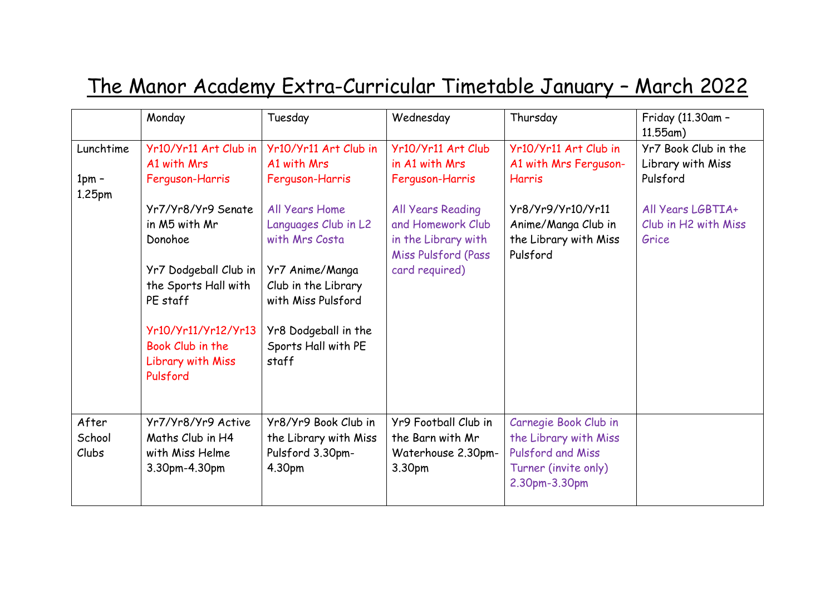## The Manor Academy Extra-Curricular Timetable January – March 2022

|                                | Monday                                                                                                                                                                                                                                             | Tuesday                                                                                                                                                                                                                                     | Wednesday                                                                                                                                                         | Thursday                                                                                                                                         | Friday (11.30am -<br>$11.55$ am)                                                                            |
|--------------------------------|----------------------------------------------------------------------------------------------------------------------------------------------------------------------------------------------------------------------------------------------------|---------------------------------------------------------------------------------------------------------------------------------------------------------------------------------------------------------------------------------------------|-------------------------------------------------------------------------------------------------------------------------------------------------------------------|--------------------------------------------------------------------------------------------------------------------------------------------------|-------------------------------------------------------------------------------------------------------------|
| Lunchtime<br>$1pm -$<br>1.25pm | Yr10/Yr11 Art Club in<br>A1 with Mrs<br>Ferguson-Harris<br>Yr7/Yr8/Yr9 Senate<br>in M5 with Mr<br>Donohoe<br>Yr7 Dodgeball Club in<br>the Sports Hall with<br>PE staff<br>Yr10/Yr11/Yr12/Yr13<br>Book Club in the<br>Library with Miss<br>Pulsford | Yr10/Yr11 Art Club in<br>A1 with Mrs<br>Ferguson-Harris<br>All Years Home<br>Languages Club in L2<br>with Mrs Costa<br>Yr7 Anime/Manga<br>Club in the Library<br>with Miss Pulsford<br>Yr8 Dodgeball in the<br>Sports Hall with PE<br>staff | Yr10/Yr11 Art Club<br>in A1 with Mrs<br>Ferguson-Harris<br>All Years Reading<br>and Homework Club<br>in the Library with<br>Miss Pulsford (Pass<br>card required) | Yr10/Yr11 Art Club in<br>A1 with Mrs Ferguson-<br><b>Harris</b><br>Yr8/Yr9/Yr10/Yr11<br>Anime/Manga Club in<br>the Library with Miss<br>Pulsford | Yr7 Book Club in the<br>Library with Miss<br>Pulsford<br>All Years LGBTIA+<br>Club in H2 with Miss<br>Grice |
| After<br>School<br>Clubs       | Yr7/Yr8/Yr9 Active<br>Maths Club in H4<br>with Miss Helme<br>3.30pm-4.30pm                                                                                                                                                                         | Yr8/Yr9 Book Club in<br>the Library with Miss<br>Pulsford 3.30pm-<br>4.30pm                                                                                                                                                                 | Yr9 Football Club in<br>the Barn with Mr<br>Waterhouse 2.30pm-<br>3.30pm                                                                                          | Carnegie Book Club in<br>the Library with Miss<br><b>Pulsford and Miss</b><br>Turner (invite only)<br>2.30pm-3.30pm                              |                                                                                                             |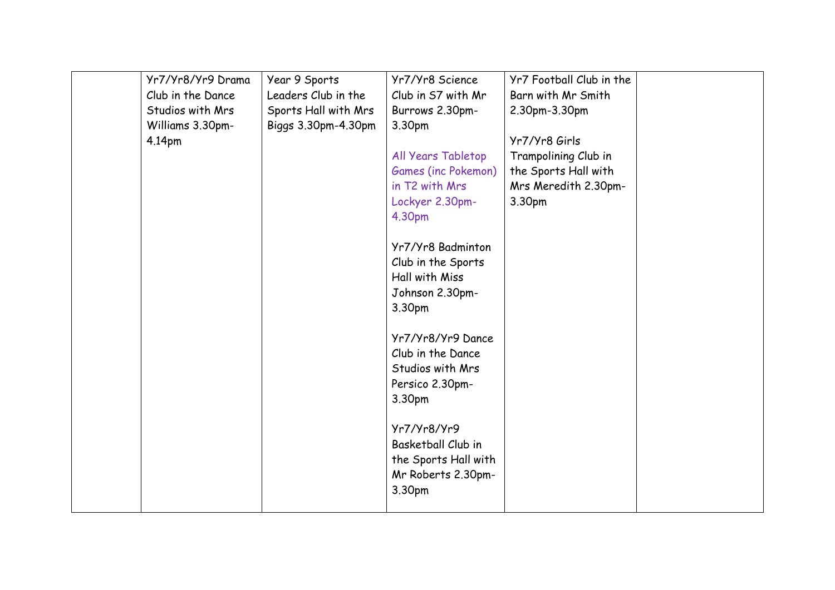|  | Club in the Dance<br>Studios with Mrs<br>Williams 3.30pm-<br>4.14pm | Leaders Club in the<br>Sports Hall with Mrs<br>Biggs 3.30pm-4.30pm | Club in S7 with Mr<br>Burrows 2.30pm-<br>3.30pm<br>All Years Tabletop<br>Games (inc Pokemon)<br>in T2 with Mrs<br>Lockyer 2.30pm-<br>4.30pm<br>Yr7/Yr8 Badminton<br>Club in the Sports<br>Hall with Miss<br>Johnson 2.30pm-<br>3.30pm<br>Yr7/Yr8/Yr9 Dance<br>Club in the Dance<br>Studios with Mrs<br>Persico 2.30pm-<br>3.30pm<br>Yr7/Yr8/Yr9<br>Basketball Club in<br>the Sports Hall with<br>Mr Roberts 2.30pm- | Barn with Mr Smith<br>2.30pm-3.30pm<br>Yr7/Yr8 Girls<br>Trampolining Club in<br>the Sports Hall with<br>Mrs Meredith 2.30pm-<br>3.30pm |  |
|--|---------------------------------------------------------------------|--------------------------------------------------------------------|---------------------------------------------------------------------------------------------------------------------------------------------------------------------------------------------------------------------------------------------------------------------------------------------------------------------------------------------------------------------------------------------------------------------|----------------------------------------------------------------------------------------------------------------------------------------|--|
|--|---------------------------------------------------------------------|--------------------------------------------------------------------|---------------------------------------------------------------------------------------------------------------------------------------------------------------------------------------------------------------------------------------------------------------------------------------------------------------------------------------------------------------------------------------------------------------------|----------------------------------------------------------------------------------------------------------------------------------------|--|